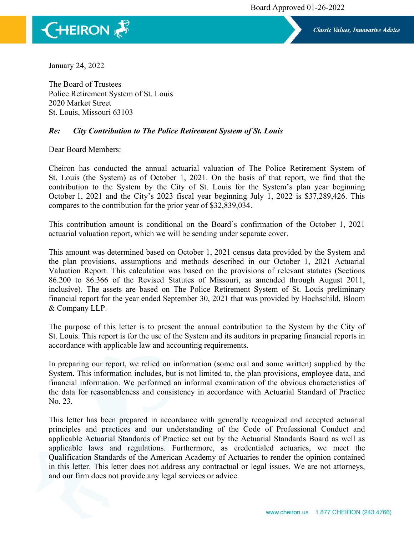

Classic Values, Innovative Advice

January 24, 2022

The Board of Trustees Police Retirement System of St. Louis 2020 Market Street St. Louis, Missouri 63103

## *Re: City Contribution to The Police Retirement System of St. Louis*

Dear Board Members:

Cheiron has conducted the annual actuarial valuation of The Police Retirement System of St. Louis (the System) as of October 1, 2021. On the basis of that report, we find that the contribution to the System by the City of St. Louis for the System's plan year beginning October 1, 2021 and the City's 2023 fiscal year beginning July 1, 2022 is \$37,289,426. This compares to the contribution for the prior year of \$32,839,034.

This contribution amount is conditional on the Board's confirmation of the October 1, 2021 actuarial valuation report, which we will be sending under separate cover.

This amount was determined based on October 1, 2021 census data provided by the System and the plan provisions, assumptions and methods described in our October 1, 2021 Actuarial Valuation Report. This calculation was based on the provisions of relevant statutes (Sections 86.200 to 86.366 of the Revised Statutes of Missouri, as amended through August 2011, inclusive). The assets are based on The Police Retirement System of St. Louis preliminary financial report for the year ended September 30, 2021 that was provided by Hochschild, Bloom & Company LLP.

The purpose of this letter is to present the annual contribution to the System by the City of St. Louis. This report is for the use of the System and its auditors in preparing financial reports in accordance with applicable law and accounting requirements.

In preparing our report, we relied on information (some oral and some written) supplied by the System. This information includes, but is not limited to, the plan provisions, employee data, and financial information. We performed an informal examination of the obvious characteristics of the data for reasonableness and consistency in accordance with Actuarial Standard of Practice No. 23.

This letter has been prepared in accordance with generally recognized and accepted actuarial principles and practices and our understanding of the Code of Professional Conduct and applicable Actuarial Standards of Practice set out by the Actuarial Standards Board as well as applicable laws and regulations. Furthermore, as credentialed actuaries, we meet the Qualification Standards of the American Academy of Actuaries to render the opinion contained in this letter. This letter does not address any contractual or legal issues. We are not attorneys, and our firm does not provide any legal services or advice.